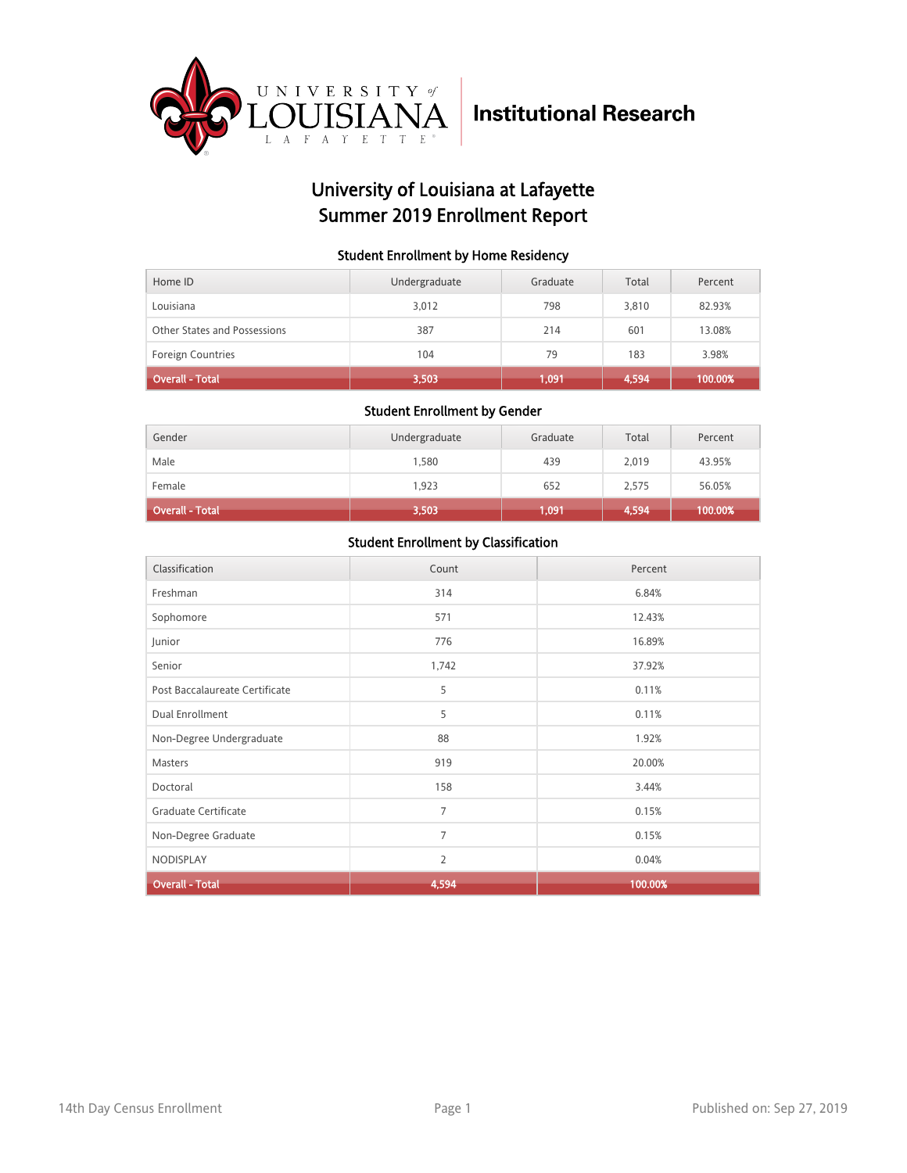

## University of Louisiana at Lafayette Summer 2019 Enrollment Report

### Student Enrollment by Home Residency

| Home ID                      | Undergraduate | Graduate | Total | Percent |
|------------------------------|---------------|----------|-------|---------|
| Louisiana                    | 3,012         | 798      | 3,810 | 82.93%  |
| Other States and Possessions | 387           | 214      | 601   | 13.08%  |
| <b>Foreign Countries</b>     | 104           | 79       | 183   | 3.98%   |
| <b>Overall - Total</b>       | 3,503         | 1.091    | 4,594 | 100.00% |

#### Student Enrollment by Gender

| Gender                 | Undergraduate | Graduate | Total | Percent |
|------------------------|---------------|----------|-------|---------|
| Male                   | 1,580         | 439      | 2,019 | 43.95%  |
| Female                 | 1.923         | 652      | 2,575 | 56.05%  |
| <b>Overall - Total</b> | 3,503         | 1,091    | 4,594 | 100.00% |

| Classification                 | Count          | Percent |
|--------------------------------|----------------|---------|
| Freshman                       | 314            | 6.84%   |
| Sophomore                      | 571            | 12.43%  |
| Junior                         | 776            | 16.89%  |
| Senior                         | 1,742          | 37.92%  |
| Post Baccalaureate Certificate | 5              | 0.11%   |
| Dual Enrollment                | 5              | 0.11%   |
| Non-Degree Undergraduate       | 88             | 1.92%   |
| Masters                        | 919            | 20.00%  |
| Doctoral                       | 158            | 3.44%   |
| Graduate Certificate           | $\overline{7}$ | 0.15%   |
| Non-Degree Graduate            | $\overline{7}$ | 0.15%   |
| NODISPLAY                      | $\overline{2}$ | 0.04%   |
| <b>Overall - Total</b>         | 4,594          | 100.00% |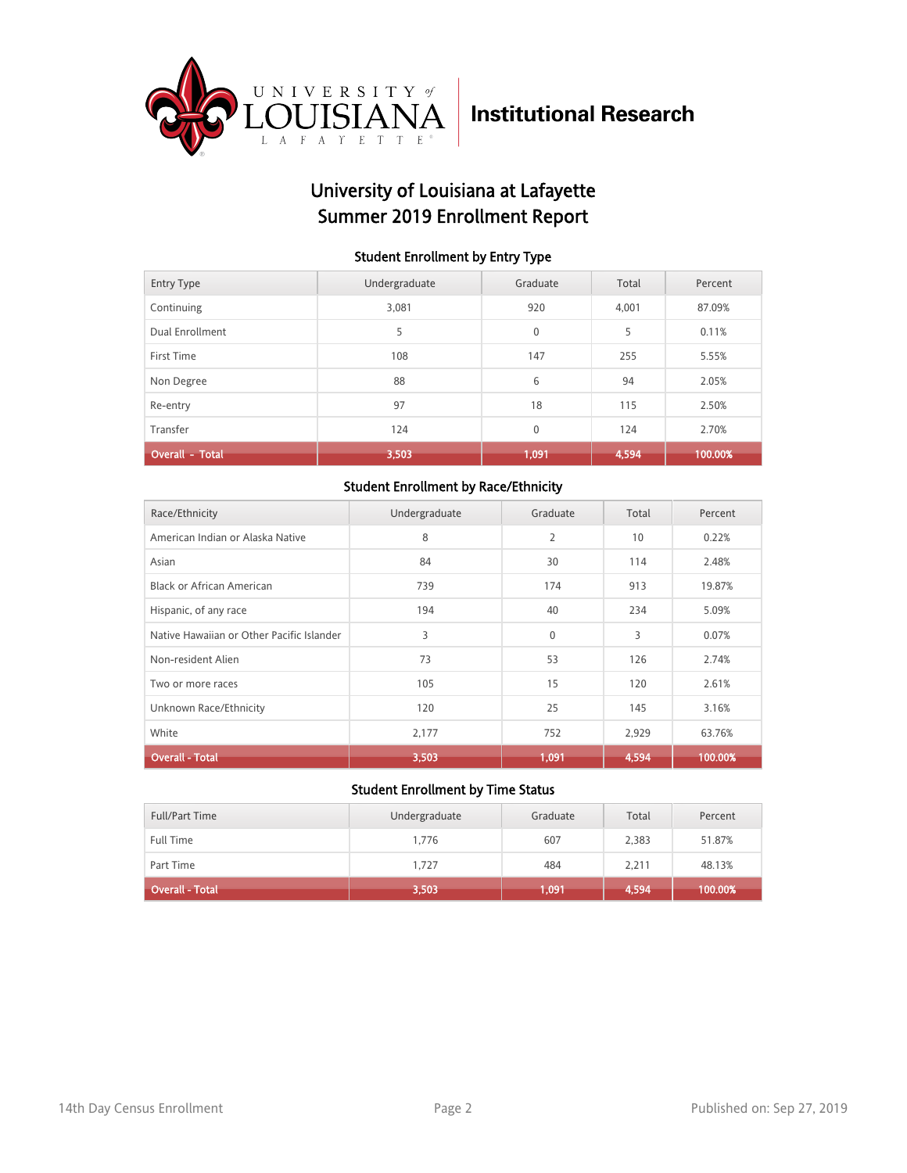

## University of Louisiana at Lafayette Summer 2019 Enrollment Report

#### Student Enrollment by Entry Type

| <b>Entry Type</b>      | Undergraduate | Graduate    | Total | Percent |
|------------------------|---------------|-------------|-------|---------|
| Continuing             | 3,081         | 920         | 4.001 | 87.09%  |
| Dual Enrollment        | 5             | $\mathbf 0$ | 5     | 0.11%   |
| First Time             | 108           | 147         | 255   | 5.55%   |
| Non Degree             | 88            | 6           | 94    | 2.05%   |
| Re-entry               | 97            | 18          | 115   | 2.50%   |
| Transfer               | 124           | $\mathbf 0$ | 124   | 2.70%   |
| <b>Overall - Total</b> | 3,503         | 1,091       | 4,594 | 100.00% |

### Student Enrollment by Race/Ethnicity

| Race/Ethnicity                            | Undergraduate | Graduate | Total | Percent |
|-------------------------------------------|---------------|----------|-------|---------|
| American Indian or Alaska Native          | 8             | 2        | 10    | 0.22%   |
| Asian                                     | 84            | 30       | 114   | 2.48%   |
| <b>Black or African American</b>          | 739           | 174      | 913   | 19.87%  |
| Hispanic, of any race                     | 194           | 40       | 234   | 5.09%   |
| Native Hawaiian or Other Pacific Islander | 3             | 0        | 3     | 0.07%   |
| Non-resident Alien                        | 73            | 53       | 126   | 2.74%   |
| Two or more races                         | 105           | 15       | 120   | 2.61%   |
| Unknown Race/Ethnicity                    | 120           | 25       | 145   | 3.16%   |
| White                                     | 2,177         | 752      | 2,929 | 63.76%  |
| <b>Overall - Total</b>                    | 3,503         | 1,091    | 4,594 | 100.00% |

| <b>Full/Part Time</b> | Undergraduate | Graduate | Total | Percent |
|-----------------------|---------------|----------|-------|---------|
| <b>Full Time</b>      | 1.776         | 607      | 2,383 | 51.87%  |
| Part Time             | 1.727         | 484      | 2.211 | 48.13%  |
| Overall - Total       | 3,503         | 1,091    | 4,594 | 100.00% |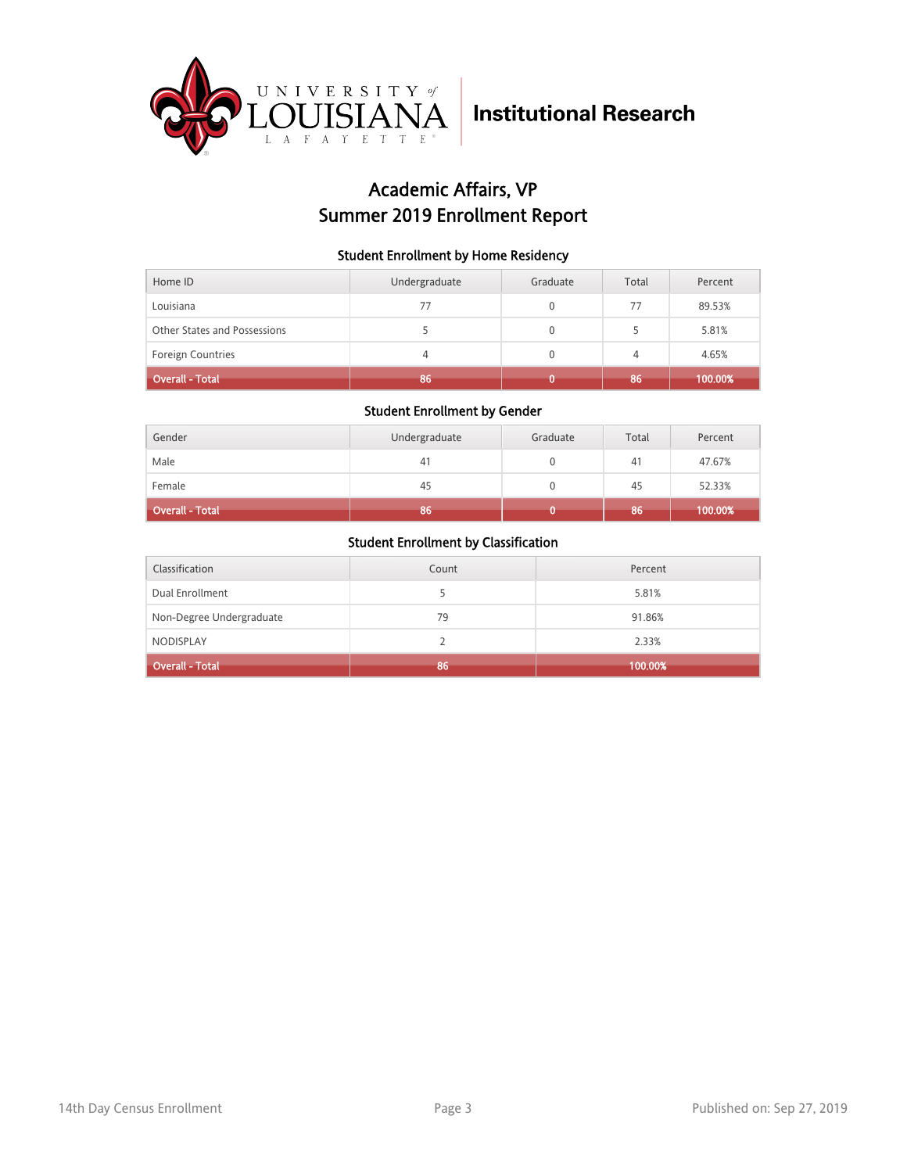

## Academic Affairs, VP Summer 2019 Enrollment Report

### Student Enrollment by Home Residency

| Home ID                      | Undergraduate | Graduate     | Total | Percent |
|------------------------------|---------------|--------------|-------|---------|
| Louisiana                    | 77            | 0            | 77    | 89.53%  |
| Other States and Possessions |               | 0            |       | 5.81%   |
| Foreign Countries            | 4             | $\mathbf{0}$ | 4     | 4.65%   |
| <b>Overall - Total</b>       | 86            |              | 86    | 100.00% |

### Student Enrollment by Gender

| Gender                 | Undergraduate | Graduate | Total | Percent |
|------------------------|---------------|----------|-------|---------|
| Male                   | 41            |          | 41    | 47.67%  |
| Female                 | 45            |          | 45    | 52.33%  |
| <b>Overall - Total</b> | 86            |          | 86    | 100.00% |

| Classification           | Count | Percent |
|--------------------------|-------|---------|
| Dual Enrollment          |       | 5.81%   |
| Non-Degree Undergraduate | 79    | 91.86%  |
| <b>NODISPLAY</b>         |       | 2.33%   |
| <b>Overall - Total</b>   | 86    | 100.00% |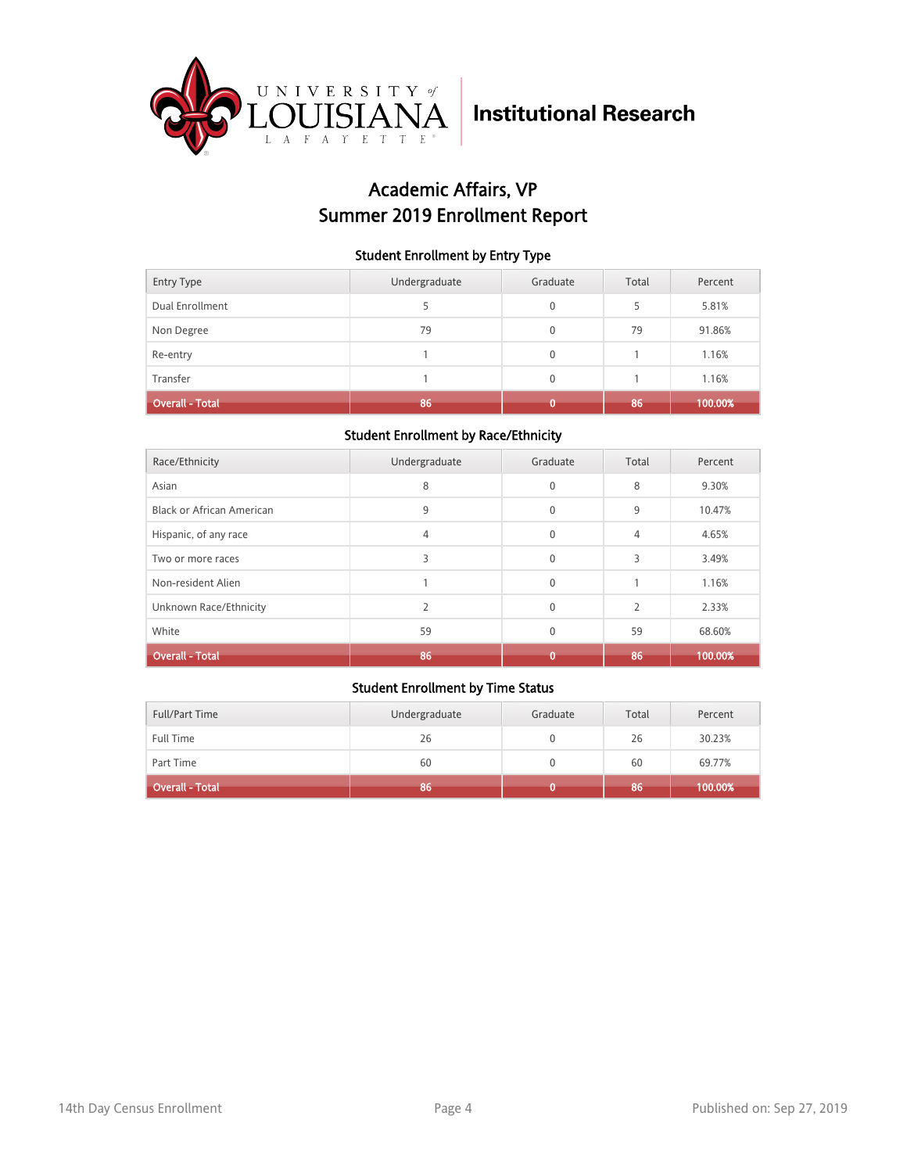

## Academic Affairs, VP Summer 2019 Enrollment Report

### Student Enrollment by Entry Type

| <b>Entry Type</b>      | Undergraduate | Graduate     | Total | Percent |
|------------------------|---------------|--------------|-------|---------|
| Dual Enrollment        |               | $\mathbf{0}$ | 5     | 5.81%   |
| Non Degree             | 79            | 0            | 79    | 91.86%  |
| Re-entry               |               | $\mathbf{0}$ |       | 1.16%   |
| Transfer               |               | $\mathbf{0}$ |       | 1.16%   |
| <b>Overall - Total</b> | 86            |              | 86    | 100.00% |

### Student Enrollment by Race/Ethnicity

| Race/Ethnicity                   | Undergraduate | Graduate     | Total                    | Percent |
|----------------------------------|---------------|--------------|--------------------------|---------|
| Asian                            | 8             | $\mathbf 0$  | 8                        | 9.30%   |
| <b>Black or African American</b> | 9             | $\mathbf{0}$ | 9                        | 10.47%  |
| Hispanic, of any race            | 4             | $\mathbf{0}$ | 4                        | 4.65%   |
| Two or more races                | 3             | $\mathbf{0}$ | 3                        | 3.49%   |
| Non-resident Alien               |               | $\mathbf{0}$ |                          | 1.16%   |
| Unknown Race/Ethnicity           |               | $\Omega$     | $\overline{\phantom{a}}$ | 2.33%   |
| White                            | 59            | $\mathbf{0}$ | 59                       | 68.60%  |
| <b>Overall - Total</b>           | 86            | n            | 86                       | 100.00% |

| Full/Part Time         | Undergraduate | Graduate | Total | Percent |
|------------------------|---------------|----------|-------|---------|
| <b>Full Time</b>       | 26            |          | 26    | 30.23%  |
| Part Time              | 60            |          | 60    | 69.77%  |
| <b>Overall - Total</b> | 86            |          | 86    | 100.00% |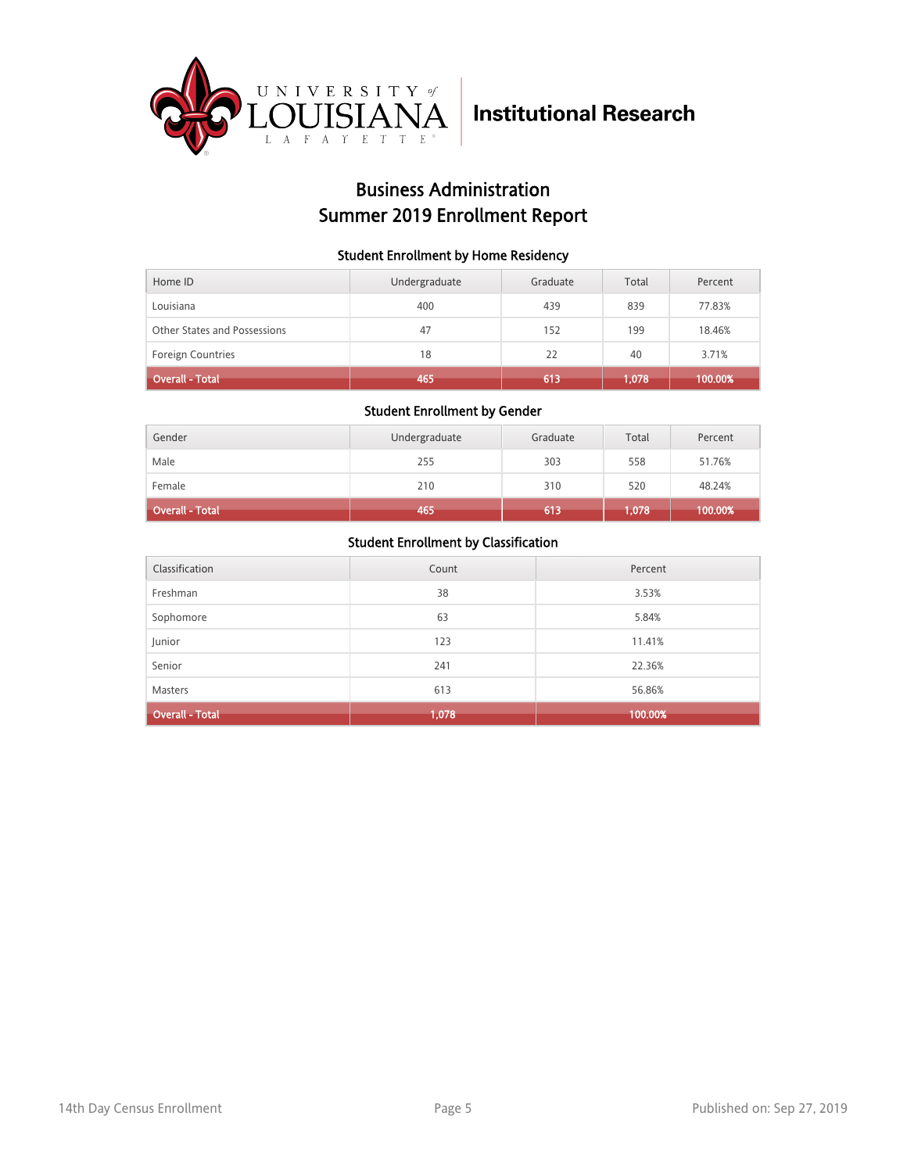

## Business Administration Summer 2019 Enrollment Report

### Student Enrollment by Home Residency

| Home ID                      | Undergraduate | Graduate | Total | Percent |
|------------------------------|---------------|----------|-------|---------|
| Louisiana                    | 400           | 439      | 839   | 77.83%  |
| Other States and Possessions | 47            | 152      | 199   | 18.46%  |
| <b>Foreign Countries</b>     | 18            | 22       | 40    | 3.71%   |
| Overall - Total              | 465           | 613      | 1,078 | 100.00% |

#### Student Enrollment by Gender

| Gender          | Undergraduate | Graduate | Total | Percent |
|-----------------|---------------|----------|-------|---------|
| Male            | 255           | 303      | 558   | 51.76%  |
| Female          | 210           | 310      | 520   | 48.24%  |
| Overall - Total | 465           | 613      | 1,078 | 100.00% |

| Classification         | Count | Percent |
|------------------------|-------|---------|
| Freshman               | 38    | 3.53%   |
| Sophomore              | 63    | 5.84%   |
| Junior                 | 123   | 11.41%  |
| Senior                 | 241   | 22.36%  |
| <b>Masters</b>         | 613   | 56.86%  |
| <b>Overall - Total</b> | 1,078 | 100.00% |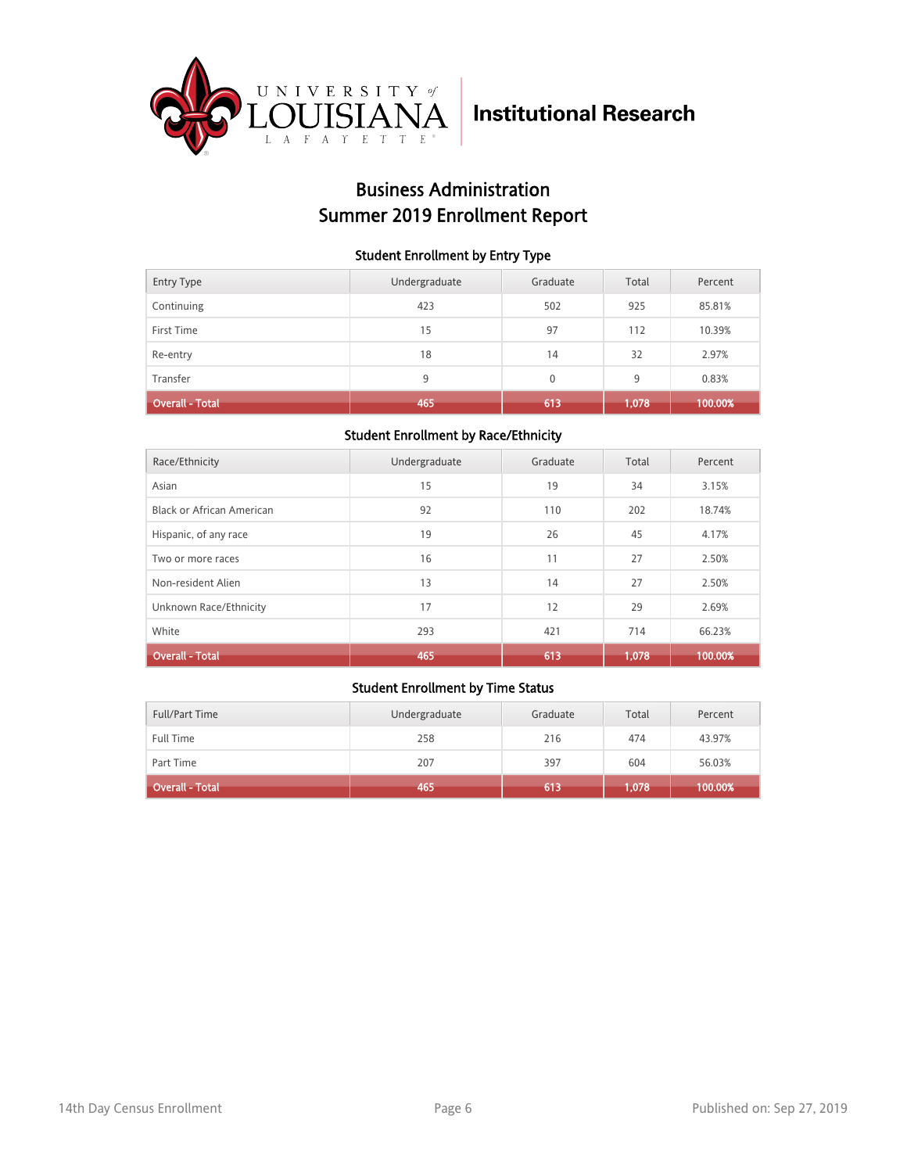

## Business Administration Summer 2019 Enrollment Report

### Student Enrollment by Entry Type

| <b>Entry Type</b>      | Undergraduate | Graduate     | Total | Percent |
|------------------------|---------------|--------------|-------|---------|
| Continuing             | 423           | 502          | 925   | 85.81%  |
| First Time             | 15            | 97           | 112   | 10.39%  |
| Re-entry               | 18            | 14           | 32    | 2.97%   |
| Transfer               | 9             | $\mathbf{0}$ | 9     | 0.83%   |
| <b>Overall - Total</b> | 465           | 613          | 1,078 | 100.00% |

### Student Enrollment by Race/Ethnicity

| Race/Ethnicity            | Undergraduate | Graduate | Total | Percent |
|---------------------------|---------------|----------|-------|---------|
| Asian                     | 15            | 19       | 34    | 3.15%   |
| Black or African American | 92            | 110      | 202   | 18.74%  |
| Hispanic, of any race     | 19            | 26       | 45    | 4.17%   |
| Two or more races         | 16            | 11       | 27    | 2.50%   |
| Non-resident Alien        | 13            | 14       | 27    | 2.50%   |
| Unknown Race/Ethnicity    | 17            | 12       | 29    | 2.69%   |
| White                     | 293           | 421      | 714   | 66.23%  |
| <b>Overall - Total</b>    | 465           | 613      | 1.078 | 100.00% |

| Full/Part Time         | Undergraduate | Graduate | Total | Percent |
|------------------------|---------------|----------|-------|---------|
| <b>Full Time</b>       | 258           | 216      | 474   | 43.97%  |
| Part Time              | 207           | 397      | 604   | 56.03%  |
| <b>Overall - Total</b> | 465           | 613      | .078  | 100.00% |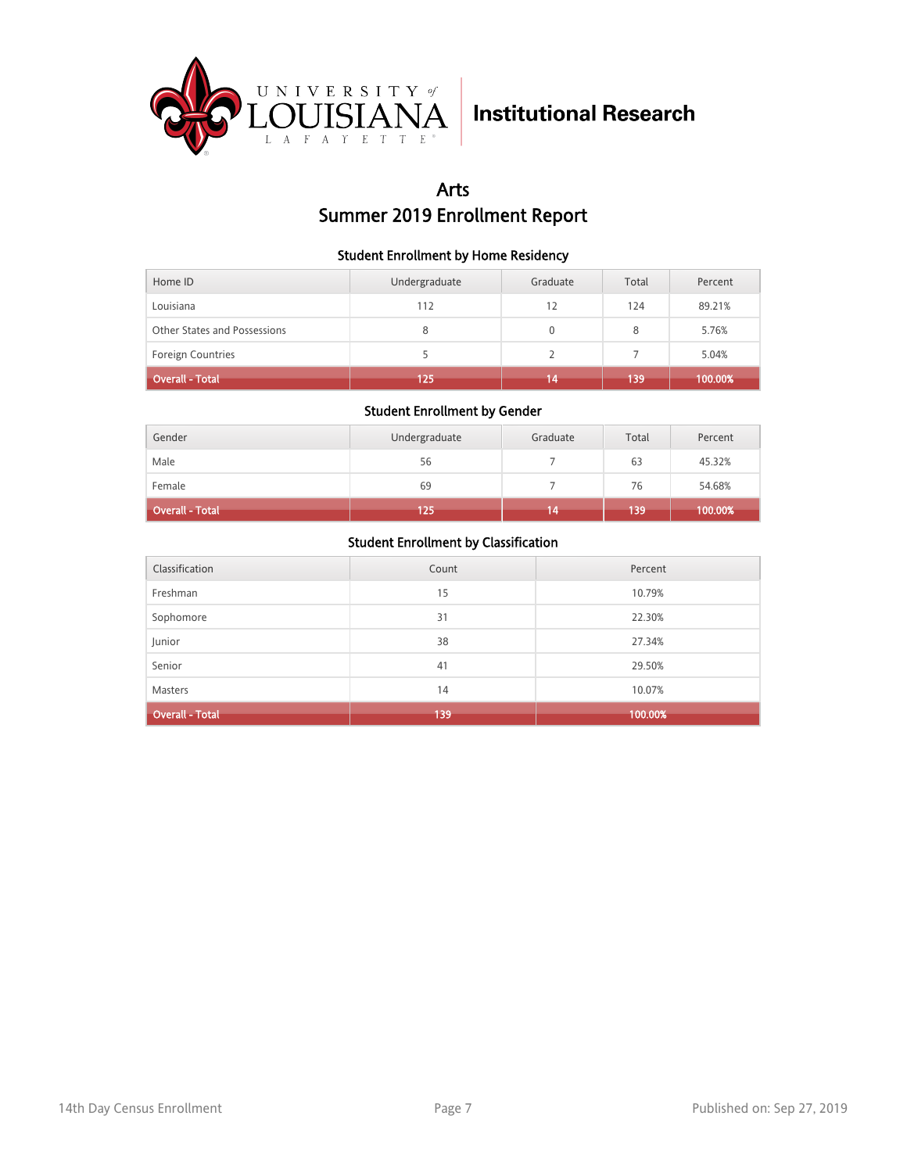

## Arts Summer 2019 Enrollment Report

### Student Enrollment by Home Residency

| Home ID                      | Undergraduate | Graduate | Total | Percent |
|------------------------------|---------------|----------|-------|---------|
| Louisiana                    | 112           | 12       | 124   | 89.21%  |
| Other States and Possessions | 8             | 0        | 8     | 5.76%   |
| <b>Foreign Countries</b>     |               |          |       | 5.04%   |
| <b>Overall - Total</b>       | 125           | 14       | 139   | 100.00% |

### Student Enrollment by Gender

| Gender                 | Undergraduate | Graduate | Total | Percent |
|------------------------|---------------|----------|-------|---------|
| Male                   | 56            |          | 63    | 45.32%  |
| Female                 | 69            |          | 76    | 54.68%  |
| <b>Overall - Total</b> | 125           | 14       | 139   | 100.00% |

| Classification         | Count | Percent |
|------------------------|-------|---------|
| Freshman               | 15    | 10.79%  |
| Sophomore              | 31    | 22.30%  |
| Junior                 | 38    | 27.34%  |
| Senior                 | 41    | 29.50%  |
| <b>Masters</b>         | 14    | 10.07%  |
| <b>Overall - Total</b> | 139   | 100.00% |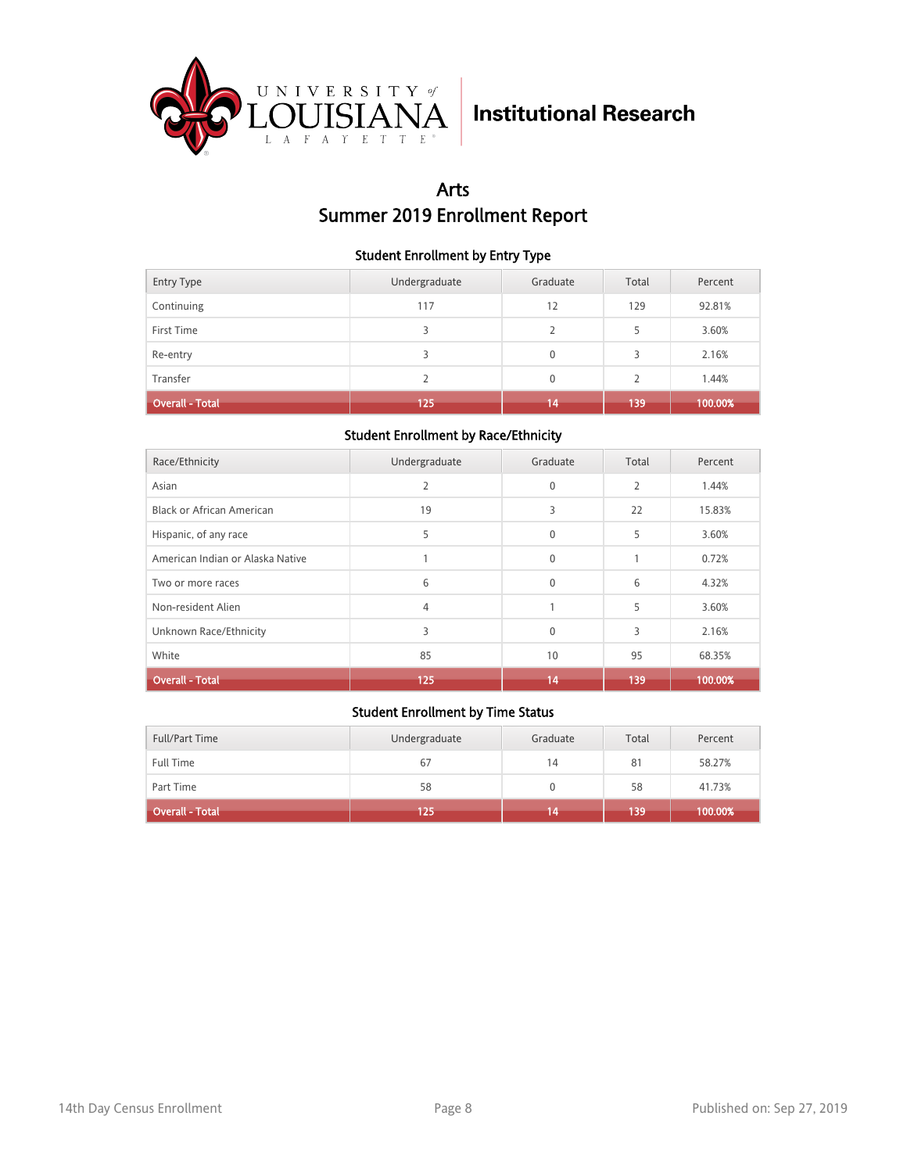

## Arts Summer 2019 Enrollment Report

### Student Enrollment by Entry Type

| <b>Entry Type</b> | Undergraduate | Graduate       | Total         | Percent |
|-------------------|---------------|----------------|---------------|---------|
| Continuing        | 117           | 12             | 129           | 92.81%  |
| First Time        | 3             | $\overline{2}$ | 5             | 3.60%   |
| Re-entry          | 3             | $\mathbf{0}$   | 3             | 2.16%   |
| Transfer          | 2             | $\mathbf{0}$   | $\mathcal{P}$ | 1.44%   |
| Overall - Total   | 125           | 14             | 139           | 100.00% |

### Student Enrollment by Race/Ethnicity

| Race/Ethnicity                   | Undergraduate  | Graduate     | Total          | Percent |
|----------------------------------|----------------|--------------|----------------|---------|
| Asian                            | $\overline{2}$ | 0            | $\overline{2}$ | 1.44%   |
| <b>Black or African American</b> | 19             | 3            | 22             | 15.83%  |
| Hispanic, of any race            | 5              | $\mathbf{0}$ | 5              | 3.60%   |
| American Indian or Alaska Native |                | $\mathbf{0}$ |                | 0.72%   |
| Two or more races                | 6              | $\mathbf{0}$ | 6              | 4.32%   |
| Non-resident Alien               | 4              | $\mathbf{1}$ | 5              | 3.60%   |
| Unknown Race/Ethnicity           | 3              | $\mathbf{0}$ | 3              | 2.16%   |
| White                            | 85             | 10           | 95             | 68.35%  |
| <b>Overall - Total</b>           | 125            | 14           | 139            | 100.00% |

| Full/Part Time         | Undergraduate | Graduate | Total | Percent |
|------------------------|---------------|----------|-------|---------|
| <b>Full Time</b>       | 67            | 14       | 81    | 58.27%  |
| Part Time              | 58            |          | 58    | 41.73%  |
| <b>Overall - Total</b> | 125           | 14       | 139   | 100.00% |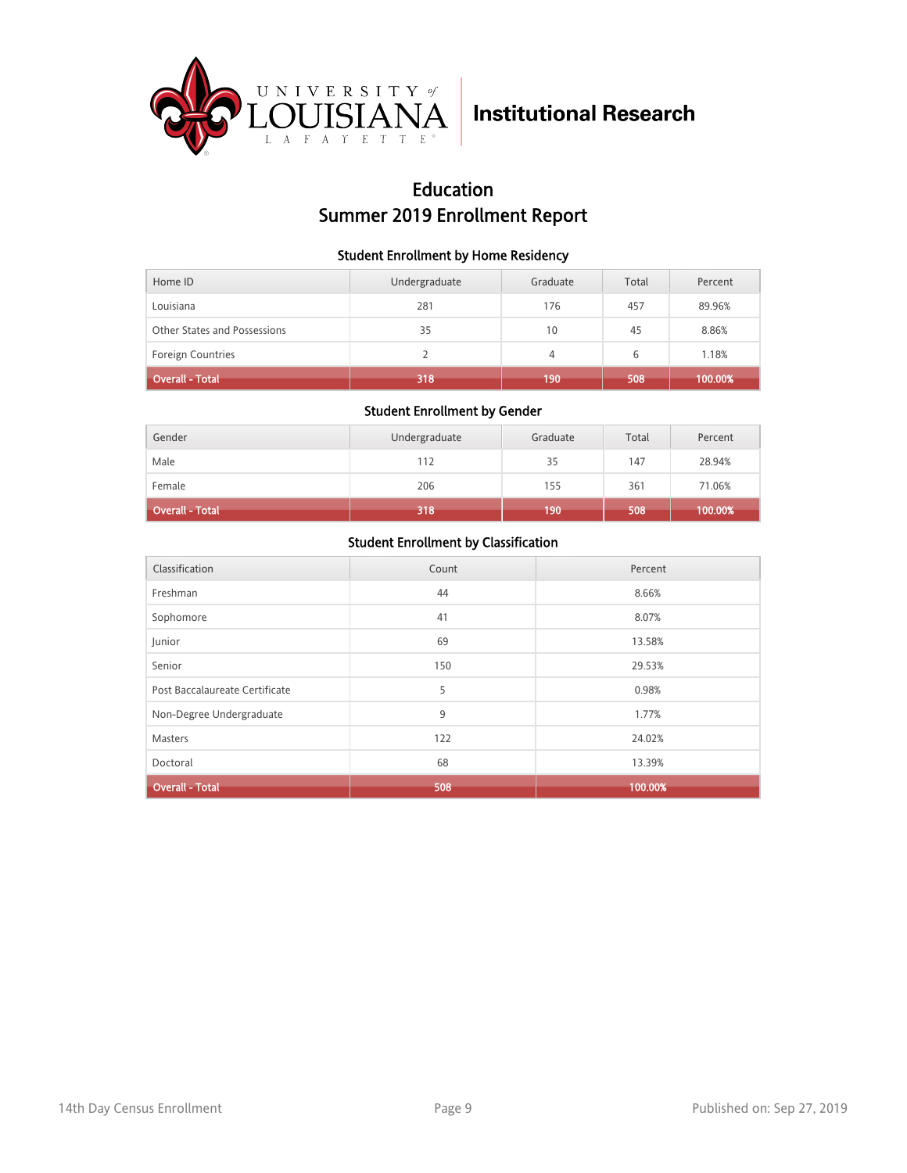

## Education Summer 2019 Enrollment Report

### Student Enrollment by Home Residency

| Home ID                      | Undergraduate | Graduate | Total | Percent |
|------------------------------|---------------|----------|-------|---------|
| Louisiana                    | 281           | 176      | 457   | 89.96%  |
| Other States and Possessions | 35            | 10       | 45    | 8.86%   |
| <b>Foreign Countries</b>     |               | 4        | 6     | 1.18%   |
| <b>Overall - Total</b>       | 318           | 190      | 508   | 100.00% |

### Student Enrollment by Gender

| Gender                 | Undergraduate | Graduate | Total | Percent |
|------------------------|---------------|----------|-------|---------|
| Male                   | 112           | 35       | 147   | 28.94%  |
| Female                 | 206           | 155      | 361   | 71.06%  |
| <b>Overall - Total</b> | 318           | 190      | 508   | 100.00% |

| Classification                 | Count | Percent |
|--------------------------------|-------|---------|
| Freshman                       | 44    | 8.66%   |
| Sophomore                      | 41    | 8.07%   |
| Junior                         | 69    | 13.58%  |
| Senior                         | 150   | 29.53%  |
| Post Baccalaureate Certificate | 5     | 0.98%   |
| Non-Degree Undergraduate       | 9     | 1.77%   |
| Masters                        | 122   | 24.02%  |
| Doctoral                       | 68    | 13.39%  |
| <b>Overall - Total</b>         | 508   | 100.00% |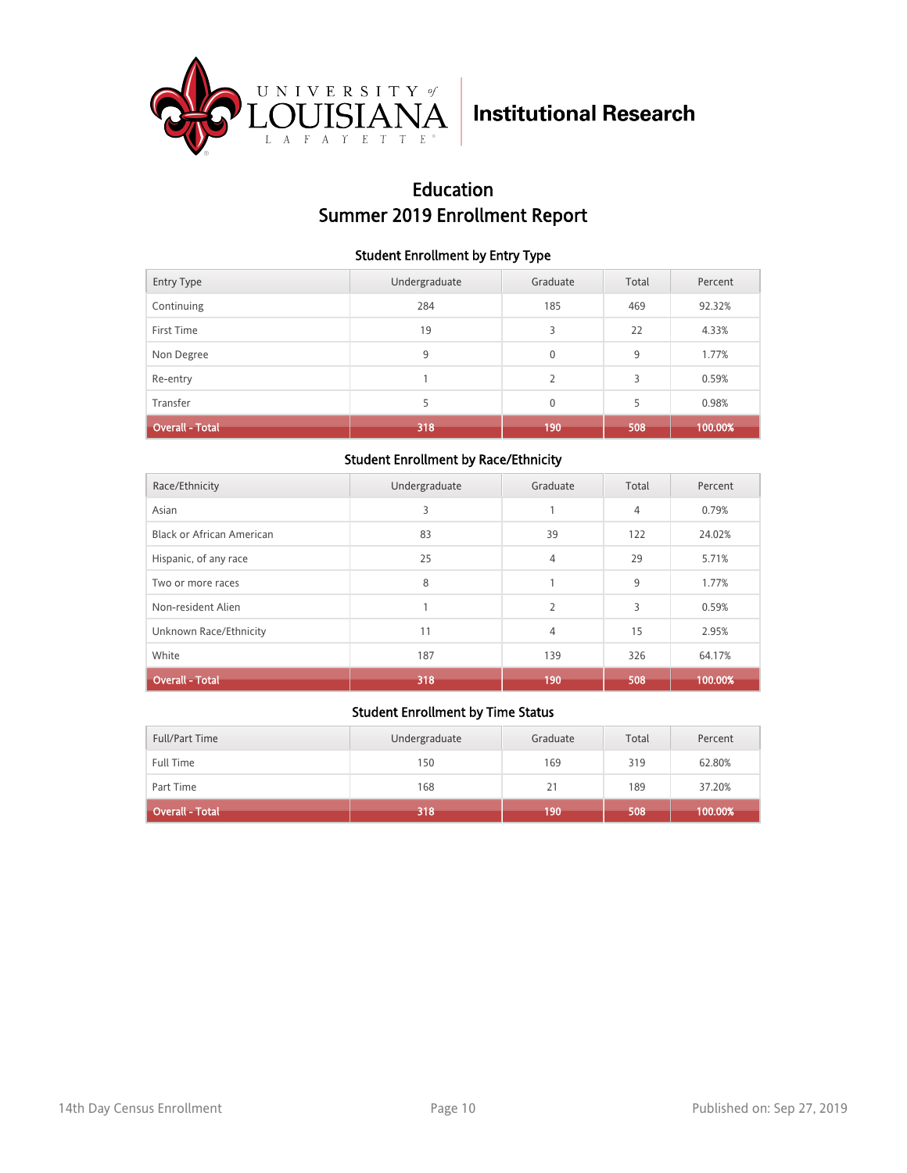

## Education Summer 2019 Enrollment Report

### Student Enrollment by Entry Type

| <b>Entry Type</b>      | Undergraduate | Graduate      | Total | Percent |
|------------------------|---------------|---------------|-------|---------|
| Continuing             | 284           | 185           | 469   | 92.32%  |
| First Time             | 19            | 3             | 22    | 4.33%   |
| Non Degree             | 9             | $\mathbf 0$   | 9     | 1.77%   |
| Re-entry               |               | $\mathcal{P}$ | 3     | 0.59%   |
| Transfer               | 5             | $\mathbf{0}$  | 5     | 0.98%   |
| <b>Overall - Total</b> | 318           | 190           | 508   | 100.00% |

### Student Enrollment by Race/Ethnicity

| Race/Ethnicity            | Undergraduate | Graduate       | Total | Percent |
|---------------------------|---------------|----------------|-------|---------|
| Asian                     | 3             |                | 4     | 0.79%   |
| Black or African American | 83            | 39             | 122   | 24.02%  |
| Hispanic, of any race     | 25            | 4              | 29    | 5.71%   |
| Two or more races         | 8             |                | 9     | 1.77%   |
| Non-resident Alien        |               | $\overline{2}$ | 3     | 0.59%   |
| Unknown Race/Ethnicity    | 11            | 4              | 15    | 2.95%   |
| White                     | 187           | 139            | 326   | 64.17%  |
| <b>Overall - Total</b>    | 318           | 190            | 508   | 100.00% |

| Full/Part Time         | Undergraduate | Graduate | Total | Percent |
|------------------------|---------------|----------|-------|---------|
| <b>Full Time</b>       | 150           | 169      | 319   | 62.80%  |
| Part Time              | 168           | 21       | 189   | 37.20%  |
| <b>Overall - Total</b> | 318           | 190      | 508   | 100.00% |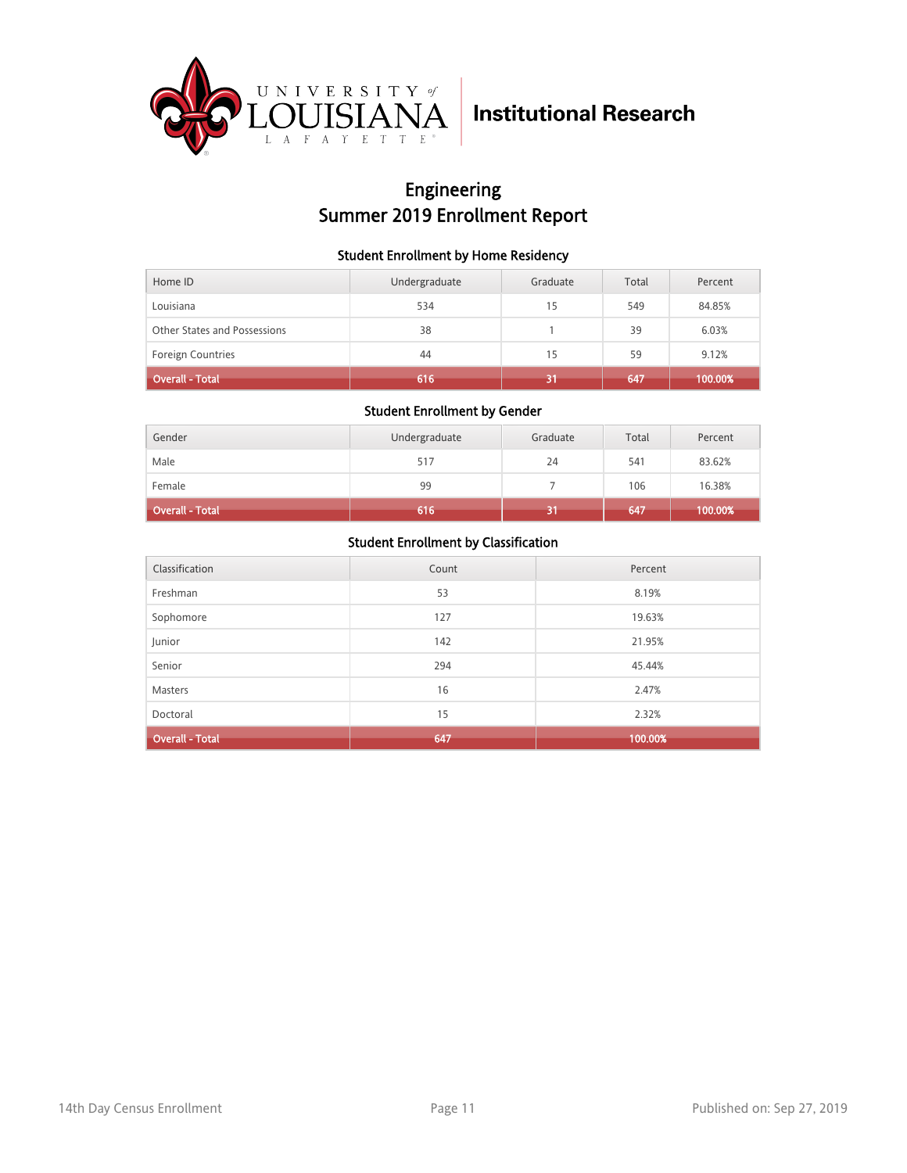

## Engineering Summer 2019 Enrollment Report

### Student Enrollment by Home Residency

| Home ID                      | Undergraduate | Graduate | Total | Percent |
|------------------------------|---------------|----------|-------|---------|
| Louisiana                    | 534           | 15       | 549   | 84.85%  |
| Other States and Possessions | 38            |          | 39    | 6.03%   |
| <b>Foreign Countries</b>     | 44            | 15       | 59    | 9.12%   |
| <b>Overall - Total</b>       | 616           |          | 647   | 100.00% |

### Student Enrollment by Gender

| Gender                 | Undergraduate | Graduate | Total | Percent |
|------------------------|---------------|----------|-------|---------|
| Male                   | 517           | 24       | 541   | 83.62%  |
| Female                 | 99            |          | 106   | 16.38%  |
| <b>Overall - Total</b> | 616           | 61       | 647   | 100.00% |

| Classification         | Count | Percent |
|------------------------|-------|---------|
| Freshman               | 53    | 8.19%   |
| Sophomore              | 127   | 19.63%  |
| Junior                 | 142   | 21.95%  |
| Senior                 | 294   | 45.44%  |
| Masters                | 16    | 2.47%   |
| Doctoral               | 15    | 2.32%   |
| <b>Overall - Total</b> | 647   | 100.00% |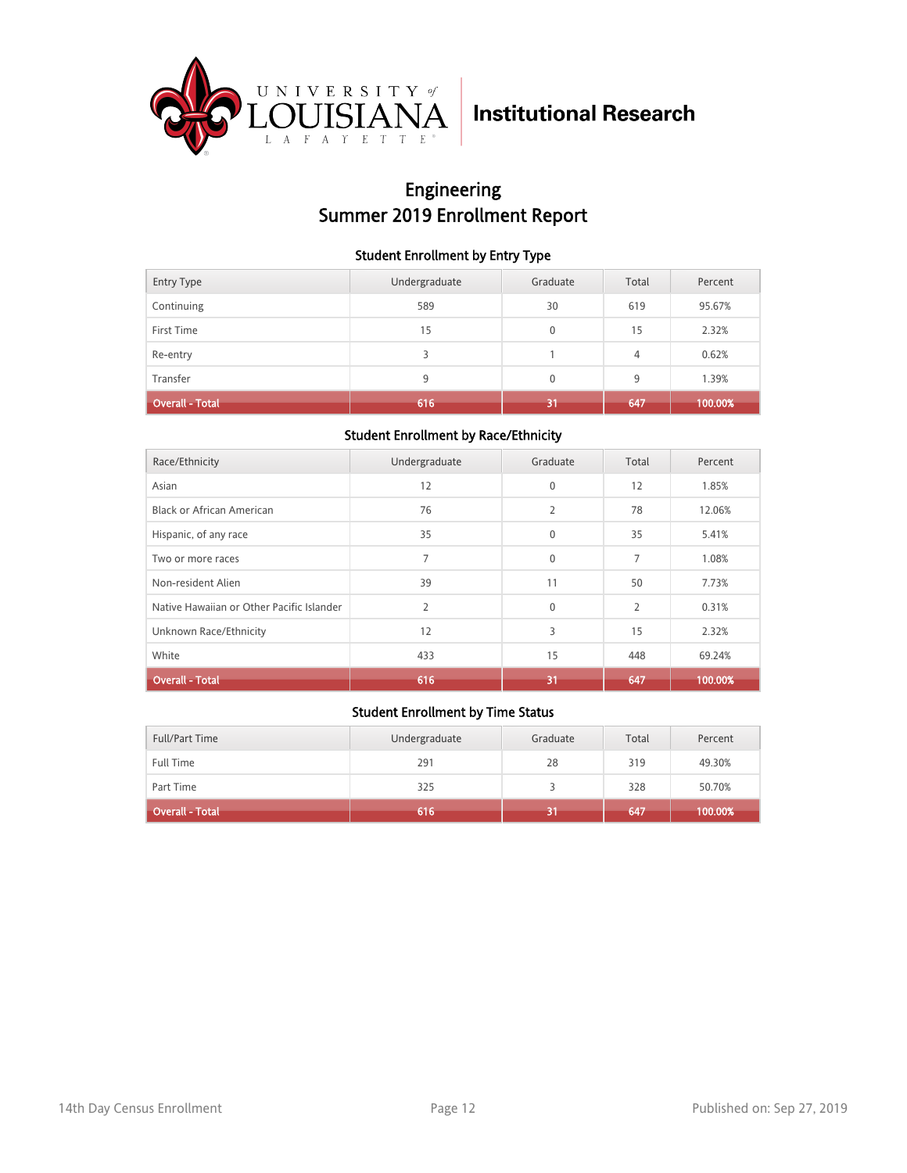

## Engineering Summer 2019 Enrollment Report

### Student Enrollment by Entry Type

| <b>Entry Type</b>      | Undergraduate | Graduate     | Total | Percent |
|------------------------|---------------|--------------|-------|---------|
| Continuing             | 589           | 30           | 619   | 95.67%  |
| First Time             | 15            | $\mathbf{0}$ | 15    | 2.32%   |
| Re-entry               | 3             |              | 4     | 0.62%   |
| Transfer               | 9             | $\mathbf{0}$ | 9     | 1.39%   |
| <b>Overall - Total</b> | 616           | 31           | 647   | 100.00% |

### Student Enrollment by Race/Ethnicity

| Race/Ethnicity                            | Undergraduate  | Graduate       | Total          | Percent |
|-------------------------------------------|----------------|----------------|----------------|---------|
| Asian                                     | 12             | $\mathbf{0}$   | 12             | 1.85%   |
| <b>Black or African American</b>          | 76             | $\overline{2}$ | 78             | 12.06%  |
| Hispanic, of any race                     | 35             | $\mathbf{0}$   | 35             | 5.41%   |
| Two or more races                         | 7              | $\mathbf{0}$   | 7              | 1.08%   |
| Non-resident Alien                        | 39             | 11             | 50             | 7.73%   |
| Native Hawaiian or Other Pacific Islander | $\overline{2}$ | $\Omega$       | $\overline{2}$ | 0.31%   |
| Unknown Race/Ethnicity                    | 12             | 3              | 15             | 2.32%   |
| White                                     | 433            | 15             | 448            | 69.24%  |
| <b>Overall - Total</b>                    | 616            | 31             | 647            | 100.00% |

| Full/Part Time         | Undergraduate | Graduate | Total | Percent |
|------------------------|---------------|----------|-------|---------|
| Full Time              | 291           | 28       | 319   | 49.30%  |
| Part Time              | 325           |          | 328   | 50.70%  |
| <b>Overall - Total</b> | 616           | 31       | 647   | 100.00% |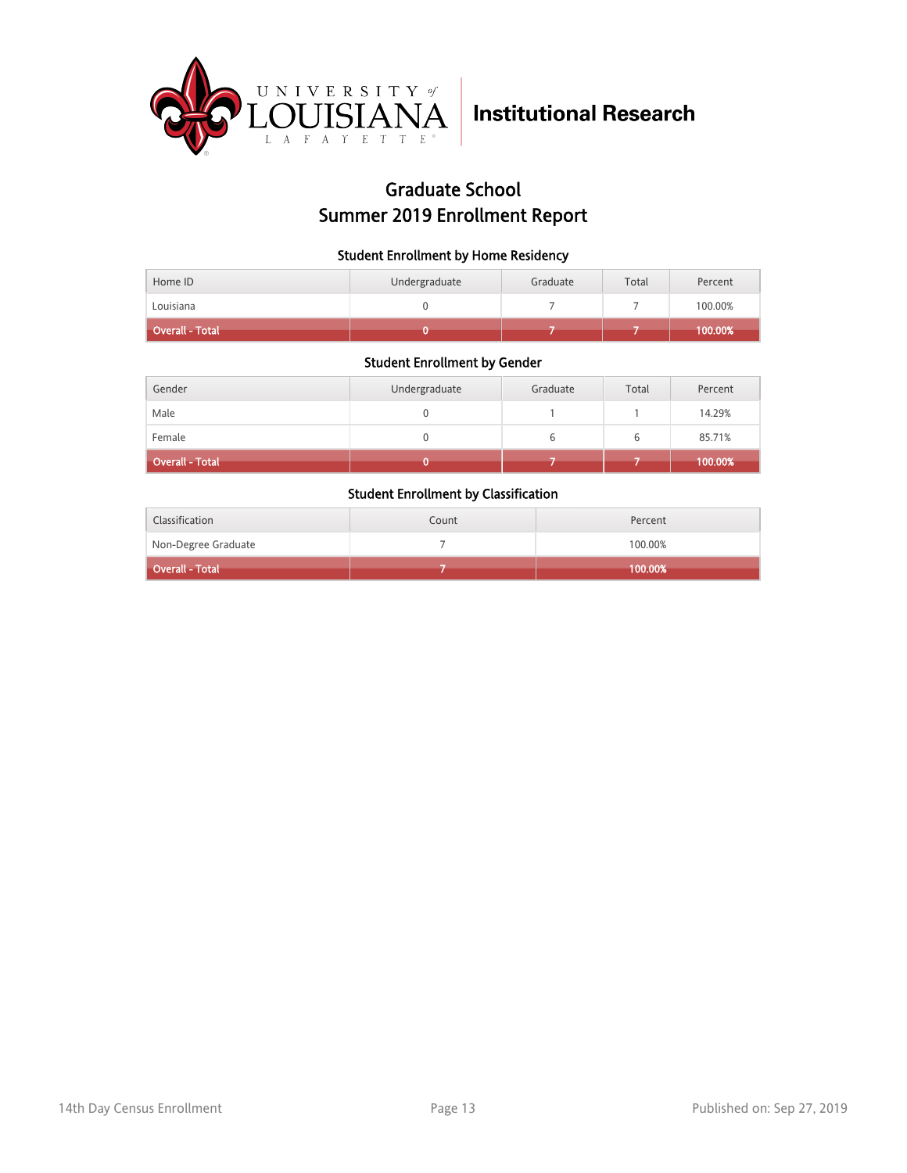

## Graduate School Summer 2019 Enrollment Report

### Student Enrollment by Home Residency

| <b>Overall - Total</b> |               |          |       | $ 100.00\% $ |
|------------------------|---------------|----------|-------|--------------|
| Louisiana              |               |          |       | 100.00%      |
| Home ID                | Undergraduate | Graduate | Total | Percent      |

#### Student Enrollment by Gender

| Gender                 | Undergraduate | Graduate | Total | Percent |
|------------------------|---------------|----------|-------|---------|
| Male                   |               |          |       | 14.29%  |
| Female                 |               |          | ь     | 85.71%  |
| <b>Overall - Total</b> |               |          |       | 100.00% |

| Classification      | Count | Percent |
|---------------------|-------|---------|
| Non-Degree Graduate |       | 100.00% |
| Overall - Total     |       | 100.00% |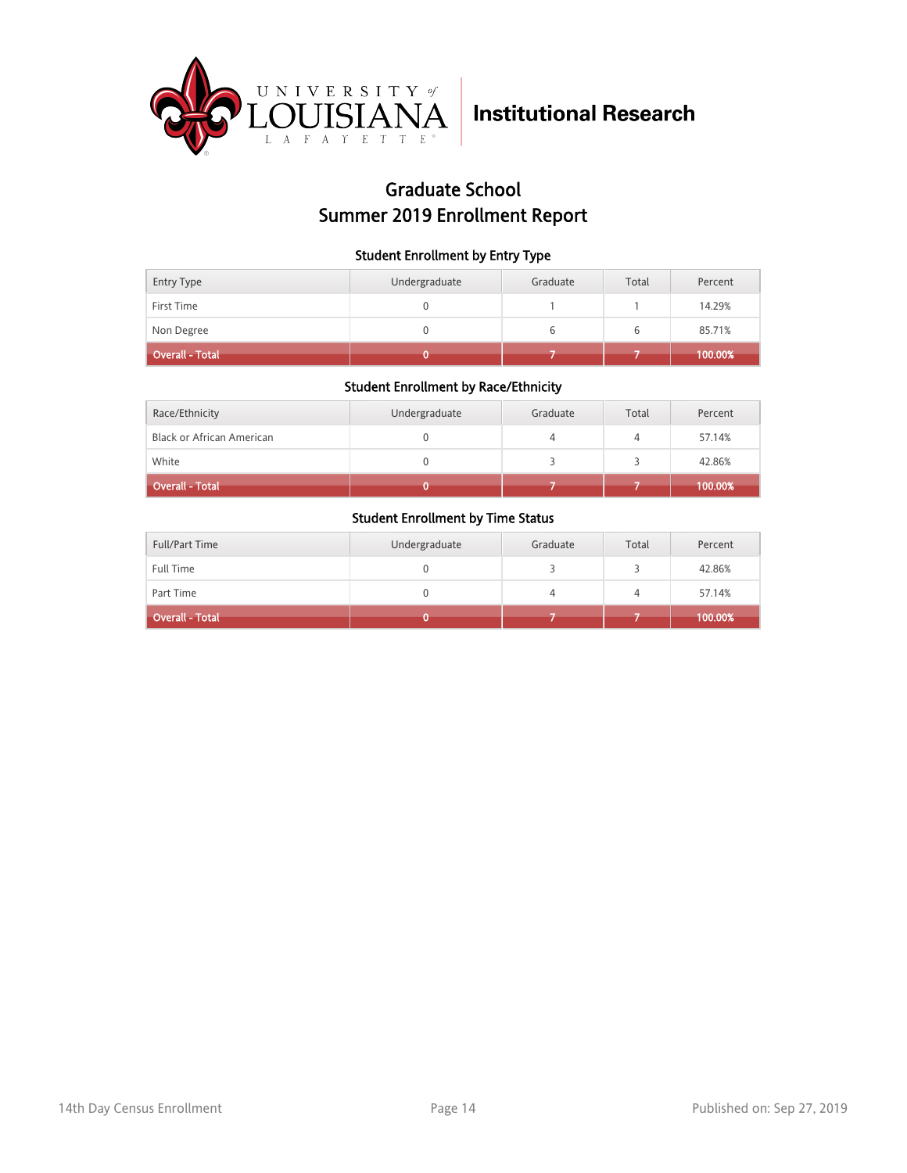

### Graduate School Summer 2019 Enrollment Report

### Student Enrollment by Entry Type

| Entry Type             | Undergraduate | Graduate | Total | Percent |
|------------------------|---------------|----------|-------|---------|
| First Time             |               |          |       | 14.29%  |
| Non Degree             |               |          | b     | 85.71%  |
| <b>Overall - Total</b> |               |          |       | 100.00% |

### Student Enrollment by Race/Ethnicity

| Race/Ethnicity                   | Undergraduate | Graduate | Total | Percent |
|----------------------------------|---------------|----------|-------|---------|
| <b>Black or African American</b> |               |          | 4     | 57.14%  |
| White                            |               |          |       | 42.86%  |
| <b>Overall - Total</b>           |               |          |       | 100.00% |

| Full/Part Time         | Undergraduate | Graduate | Total | Percent |
|------------------------|---------------|----------|-------|---------|
| <b>Full Time</b>       |               |          |       | 42.86%  |
| Part Time              |               |          | 4     | 57.14%  |
| <b>Overall - Total</b> |               |          |       | 100.00% |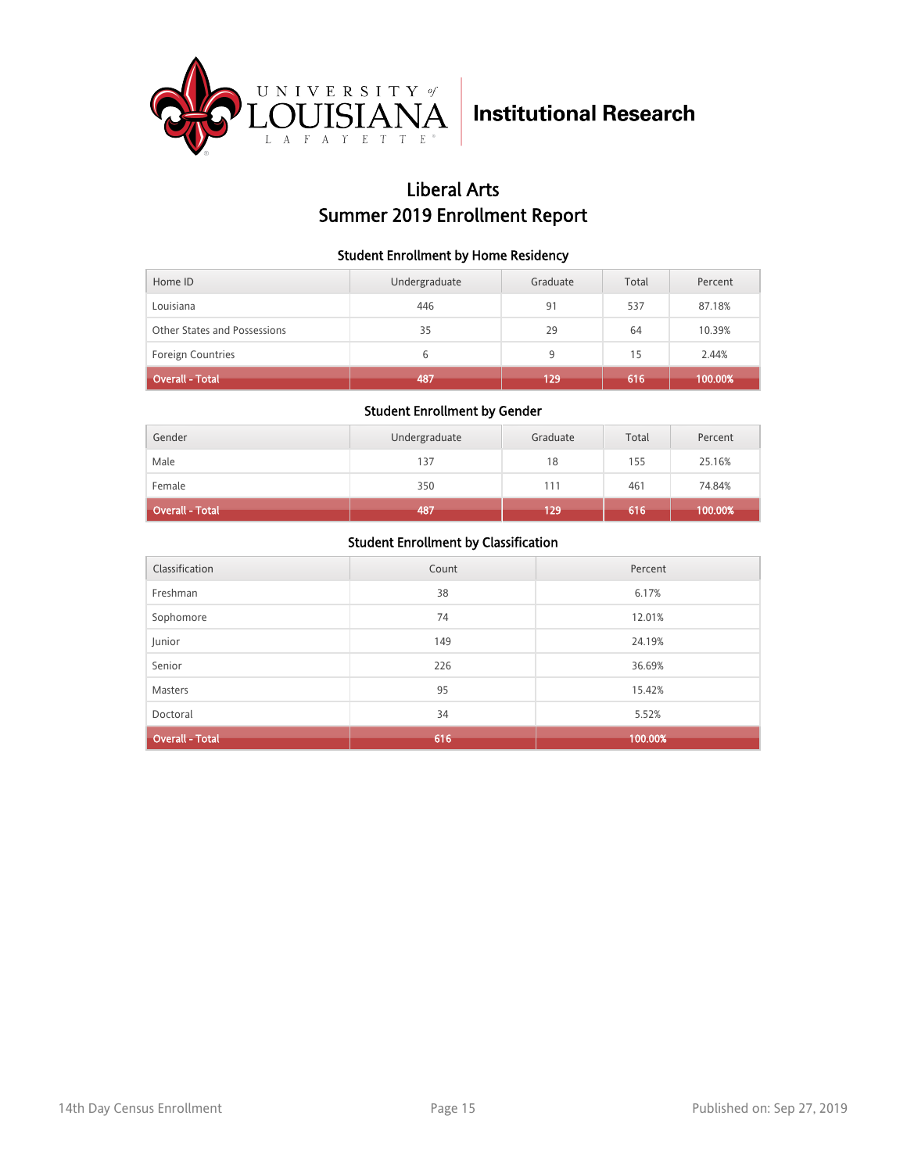

## Liberal Arts Summer 2019 Enrollment Report

### Student Enrollment by Home Residency

| Home ID                      | Undergraduate | Graduate | Total | Percent |
|------------------------------|---------------|----------|-------|---------|
| Louisiana                    | 446           | 91       | 537   | 87.18%  |
| Other States and Possessions | 35            | 29       | 64    | 10.39%  |
| <b>Foreign Countries</b>     | 6             | 9        | 15    | 2.44%   |
| <b>Overall - Total</b>       | 487           | 129      | 616   | 100.00% |

#### Student Enrollment by Gender

| Gender                 | Undergraduate | Graduate | Total | Percent |
|------------------------|---------------|----------|-------|---------|
| Male                   | 137           | 18       | 155   | 25.16%  |
| Female                 | 350           | 111      | 461   | 74.84%  |
| <b>Overall - Total</b> | 487           | 129      | 616   | 100.00% |

| Classification         | Count | Percent |
|------------------------|-------|---------|
| Freshman               | 38    | 6.17%   |
| Sophomore              | 74    | 12.01%  |
| Junior                 | 149   | 24.19%  |
| Senior                 | 226   | 36.69%  |
| <b>Masters</b>         | 95    | 15.42%  |
| Doctoral               | 34    | 5.52%   |
| <b>Overall - Total</b> | 616   | 100.00% |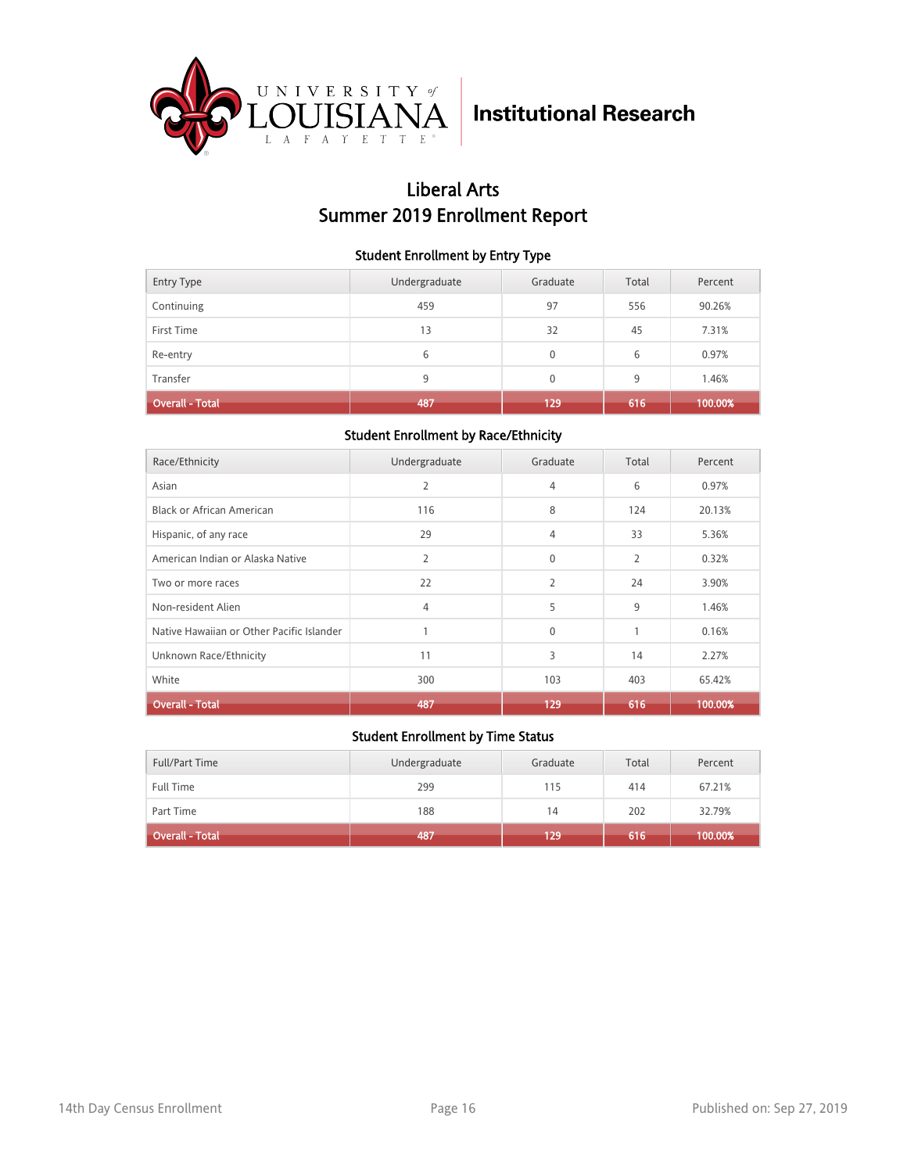

## Liberal Arts Summer 2019 Enrollment Report

### Student Enrollment by Entry Type

| <b>Entry Type</b>      | Undergraduate | Graduate     | Total | Percent |
|------------------------|---------------|--------------|-------|---------|
| Continuing             | 459           | 97           | 556   | 90.26%  |
| First Time             | 13            | 32           | 45    | 7.31%   |
| Re-entry               | 6             | $\mathbf{0}$ | 6     | 0.97%   |
| Transfer               | 9             | $\mathbf{0}$ | 9     | 1.46%   |
| <b>Overall - Total</b> | 487           | 129          | 616   | 100.00% |

### Student Enrollment by Race/Ethnicity

| Race/Ethnicity                            | Undergraduate  | Graduate     | Total          | Percent |
|-------------------------------------------|----------------|--------------|----------------|---------|
| Asian                                     | 2              | 4            | 6              | 0.97%   |
| Black or African American                 | 116            | 8            | 124            | 20.13%  |
| Hispanic, of any race                     | 29             | 4            | 33             | 5.36%   |
| American Indian or Alaska Native          | $\overline{2}$ | $\Omega$     | $\overline{2}$ | 0.32%   |
| Two or more races                         | 22             | 2            | 24             | 3.90%   |
| Non-resident Alien                        | 4              | 5            | 9              | 1.46%   |
| Native Hawaiian or Other Pacific Islander |                | $\mathbf{0}$ | 1              | 0.16%   |
| Unknown Race/Ethnicity                    | 11             | 3            | 14             | 2.27%   |
| White                                     | 300            | 103          | 403            | 65.42%  |
| <b>Overall - Total</b>                    | 487            | 129          | 616            | 100.00% |

| Full/Part Time         | Undergraduate | Graduate | Total | Percent |
|------------------------|---------------|----------|-------|---------|
| <b>Full Time</b>       | 299           | 115      | 414   | 67.21%  |
| Part Time              | 188           | 14       | 202   | 32.79%  |
| <b>Overall - Total</b> | 487           | 129      | 616   | 100.00% |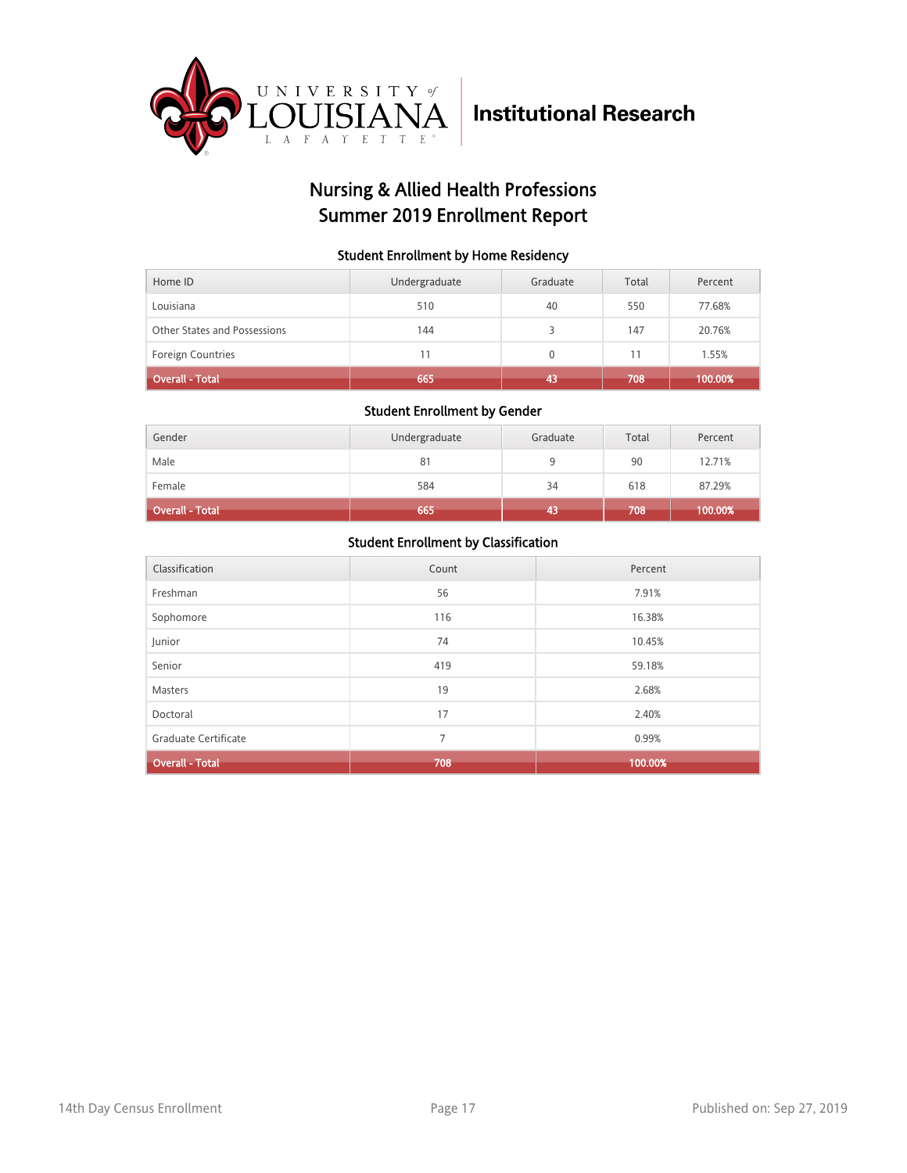

## Nursing & Allied Health Professions Summer 2019 Enrollment Report

### Student Enrollment by Home Residency

| Home ID                      | Undergraduate | Graduate     | Total | Percent |
|------------------------------|---------------|--------------|-------|---------|
| Louisiana                    | 510           | 40           | 550   | 77.68%  |
| Other States and Possessions | 144           |              | 147   | 20.76%  |
| <b>Foreign Countries</b>     | 11            | $\mathbf{0}$ | 11    | 1.55%   |
| <b>Overall - Total</b>       | 665           | 43           | 708   | 100.00% |

#### Student Enrollment by Gender

| Gender                 | Undergraduate | Graduate | Total | Percent |
|------------------------|---------------|----------|-------|---------|
| Male                   | 81            |          | 90    | 12.71%  |
| Female                 | 584           | 34       | 618   | 87.29%  |
| <b>Overall - Total</b> | 665           | 43       | 708   | 100.00% |

| Classification         | Count | Percent |
|------------------------|-------|---------|
| Freshman               | 56    | 7.91%   |
| Sophomore              | 116   | 16.38%  |
| Junior                 | 74    | 10.45%  |
| Senior                 | 419   | 59.18%  |
| Masters                | 19    | 2.68%   |
| Doctoral               | 17    | 2.40%   |
| Graduate Certificate   | 7     | 0.99%   |
| <b>Overall - Total</b> | 708   | 100.00% |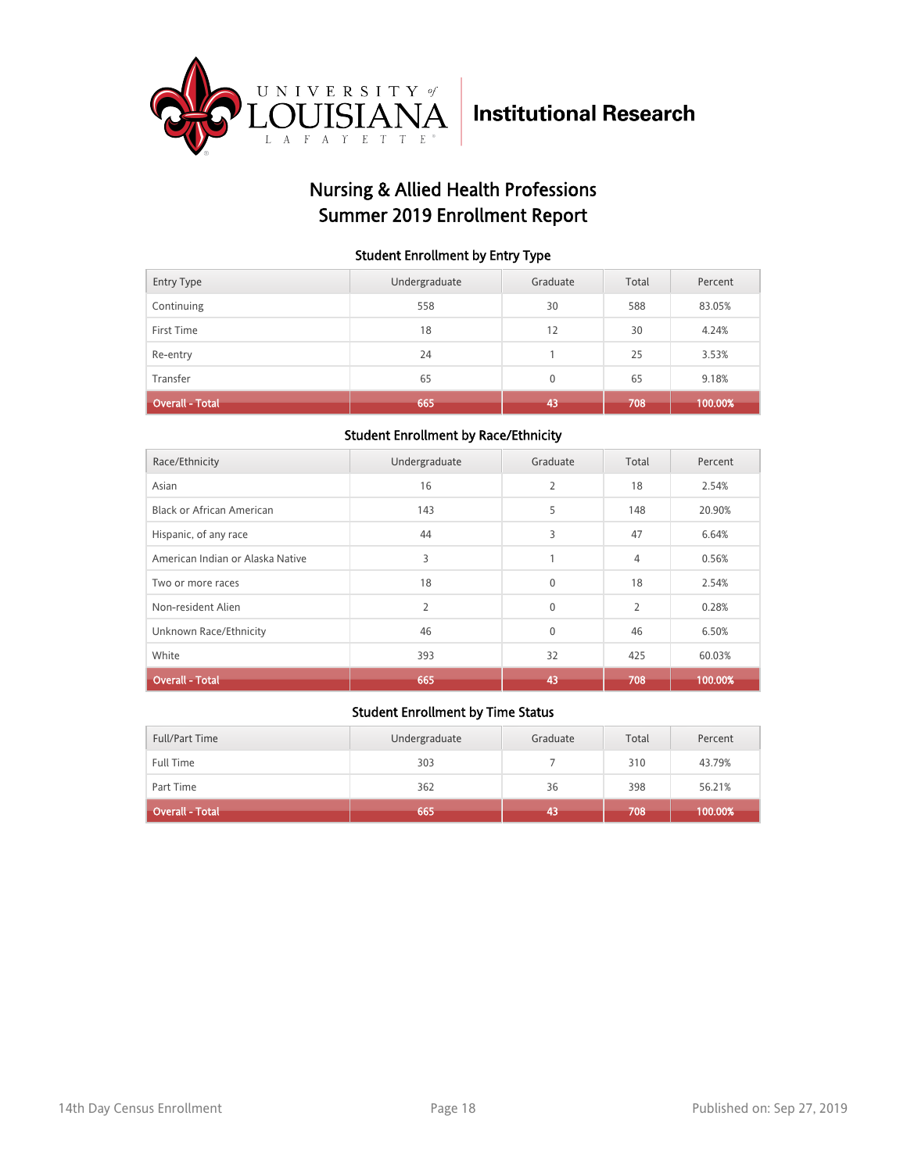

### Nursing & Allied Health Professions Summer 2019 Enrollment Report

### Student Enrollment by Entry Type

| <b>Entry Type</b>      | Undergraduate | Graduate     | Total | Percent |
|------------------------|---------------|--------------|-------|---------|
| Continuing             | 558           | 30           | 588   | 83.05%  |
| First Time             | 18            | 12           | 30    | 4.24%   |
| Re-entry               | 24            |              | 25    | 3.53%   |
| Transfer               | 65            | $\mathbf{0}$ | 65    | 9.18%   |
| <b>Overall - Total</b> | 665           | 43           | 708   | 100.00% |

### Student Enrollment by Race/Ethnicity

| Race/Ethnicity                   | Undergraduate  | Graduate       | Total          | Percent |
|----------------------------------|----------------|----------------|----------------|---------|
| Asian                            | 16             | $\overline{2}$ | 18             | 2.54%   |
| <b>Black or African American</b> | 143            | 5              | 148            | 20.90%  |
| Hispanic, of any race            | 44             | 3              | 47             | 6.64%   |
| American Indian or Alaska Native | 3              |                | $\overline{4}$ | 0.56%   |
| Two or more races                | 18             | $\mathbf{0}$   | 18             | 2.54%   |
| Non-resident Alien               | $\overline{2}$ | $\Omega$       | $\overline{2}$ | 0.28%   |
| Unknown Race/Ethnicity           | 46             | $\mathbf{0}$   | 46             | 6.50%   |
| White                            | 393            | 32             | 425            | 60.03%  |
| <b>Overall - Total</b>           | 665            | 43             | 708            | 100.00% |

| Full/Part Time         | Undergraduate | Graduate | Total | Percent |
|------------------------|---------------|----------|-------|---------|
| <b>Full Time</b>       | 303           |          | 310   | 43.79%  |
| Part Time              | 362           | 36       | 398   | 56.21%  |
| <b>Overall - Total</b> | 665           | 43       | 708   | 100.00% |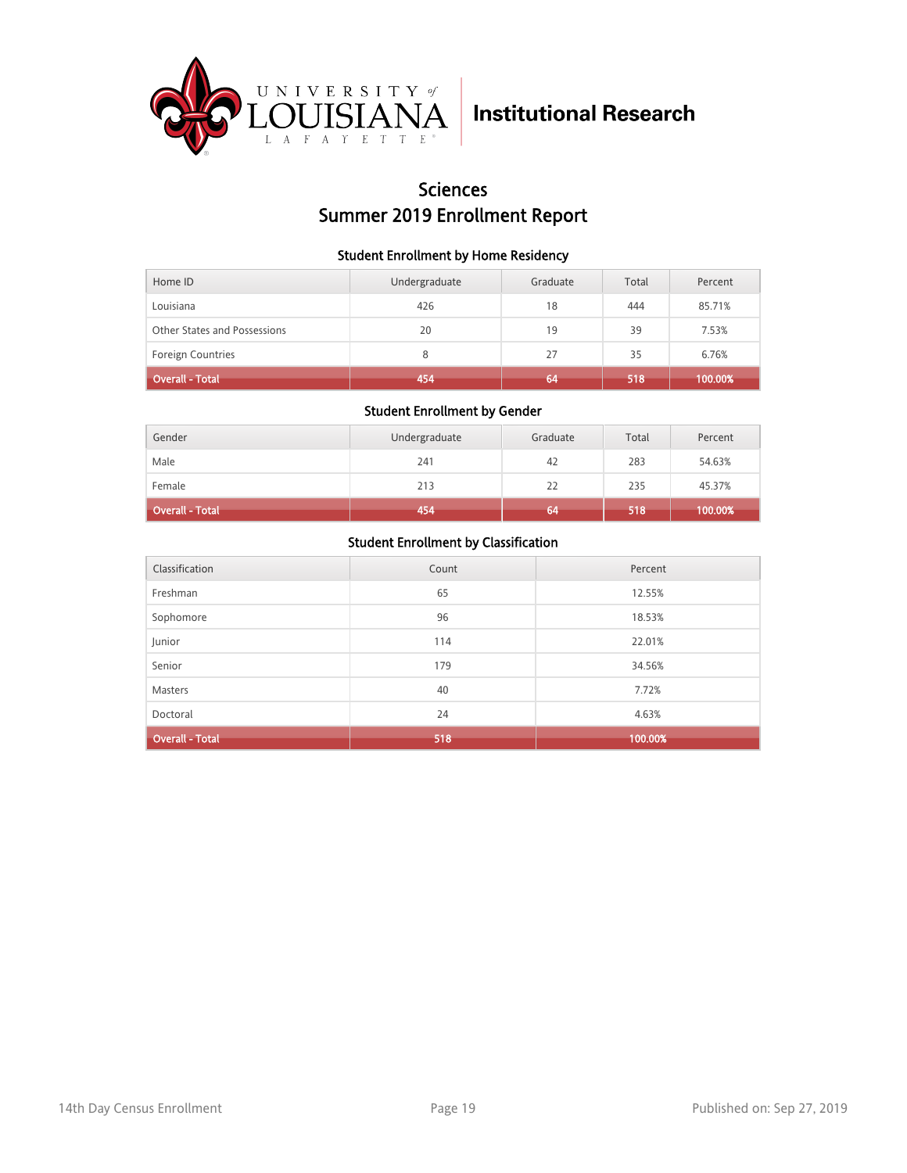

### **Sciences** Summer 2019 Enrollment Report

### Student Enrollment by Home Residency

| Home ID                      | Undergraduate | Graduate | Total | Percent |
|------------------------------|---------------|----------|-------|---------|
| Louisiana                    | 426           | 18       | 444   | 85.71%  |
| Other States and Possessions | 20            | 19       | 39    | 7.53%   |
| <b>Foreign Countries</b>     | 8             | 27       | 35    | 6.76%   |
| <b>Overall - Total</b>       | 454           | 64       | 518   | 100.00% |

### Student Enrollment by Gender

| Gender                 | Undergraduate | Graduate | Total | Percent |
|------------------------|---------------|----------|-------|---------|
| Male                   | 241           | 42       | 283   | 54.63%  |
| Female                 | 213           | 22       | 235   | 45.37%  |
| <b>Overall - Total</b> | 454           | 64       | 518   | 100.00% |

| Classification         | Count | Percent |
|------------------------|-------|---------|
| Freshman               | 65    | 12.55%  |
| Sophomore              | 96    | 18.53%  |
| Junior                 | 114   | 22.01%  |
| Senior                 | 179   | 34.56%  |
| <b>Masters</b>         | 40    | 7.72%   |
| Doctoral               | 24    | 4.63%   |
| <b>Overall - Total</b> | 518   | 100.00% |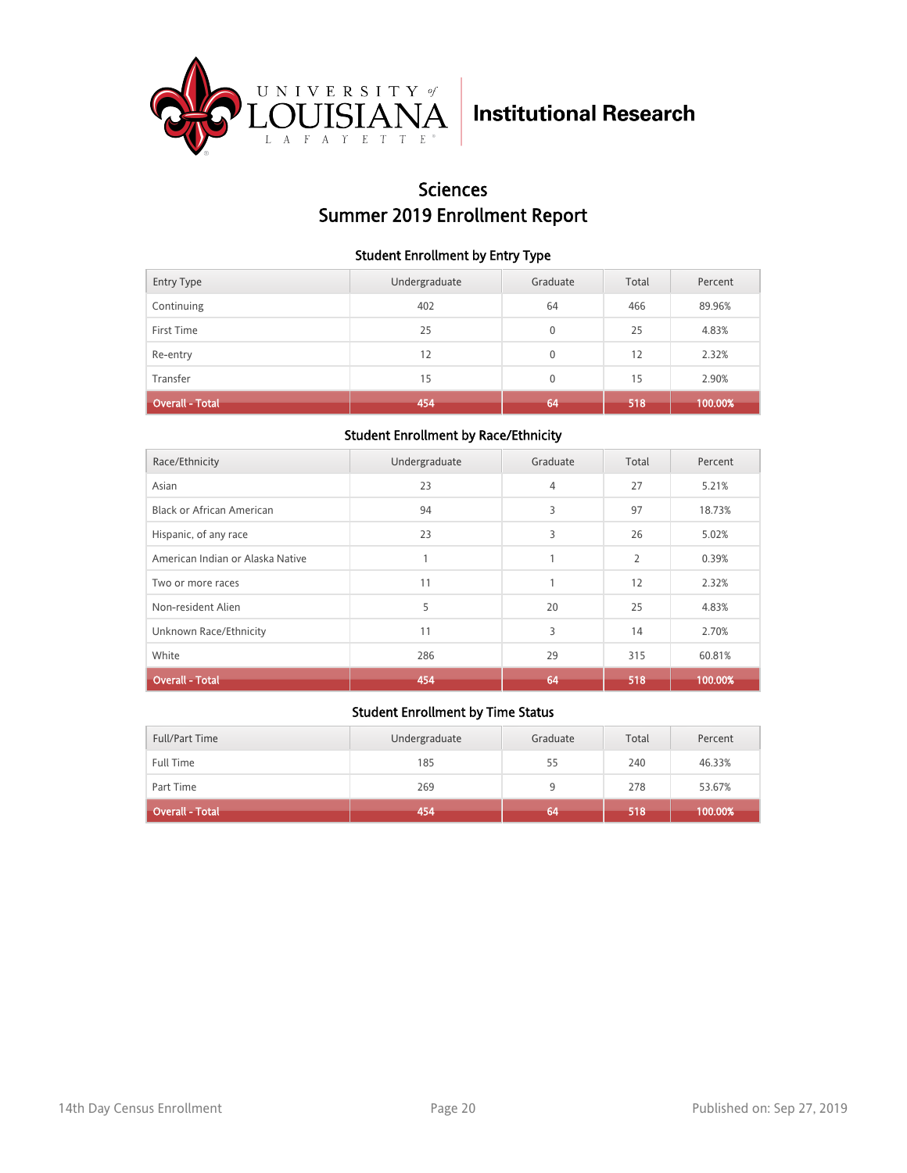

## Sciences Summer 2019 Enrollment Report

### Student Enrollment by Entry Type

| <b>Entry Type</b> | Undergraduate | Graduate     | Total | Percent |
|-------------------|---------------|--------------|-------|---------|
| Continuing        | 402           | 64           | 466   | 89.96%  |
| First Time        | 25            | $\mathbf{0}$ | 25    | 4.83%   |
| Re-entry          | 12            | $\mathbf{0}$ | 12    | 2.32%   |
| Transfer          | 15            | $\mathbf{0}$ | 15    | 2.90%   |
| Overall - Total   | 454           | 64           | 518   | 100.00% |

### Student Enrollment by Race/Ethnicity

| Race/Ethnicity                   | Undergraduate | Graduate       | Total          | Percent |
|----------------------------------|---------------|----------------|----------------|---------|
| Asian                            | 23            | $\overline{4}$ | 27             | 5.21%   |
| <b>Black or African American</b> | 94            | 3              | 97             | 18.73%  |
| Hispanic, of any race            | 23            | 3              | 26             | 5.02%   |
| American Indian or Alaska Native |               | 1              | $\overline{2}$ | 0.39%   |
| Two or more races                | 11            | $\mathbf{1}$   | 12             | 2.32%   |
| Non-resident Alien               | 5             | 20             | 25             | 4.83%   |
| Unknown Race/Ethnicity           | 11            | 3              | 14             | 2.70%   |
| White                            | 286           | 29             | 315            | 60.81%  |
| <b>Overall - Total</b>           | 454           | 64             | 518            | 100.00% |

| Full/Part Time         | Undergraduate | Graduate | Total | Percent |
|------------------------|---------------|----------|-------|---------|
| <b>Full Time</b>       | 185           | 55       | 240   | 46.33%  |
| Part Time              | 269           |          | 278   | 53.67%  |
| <b>Overall - Total</b> | 454           | 64       | 518   | 100.00% |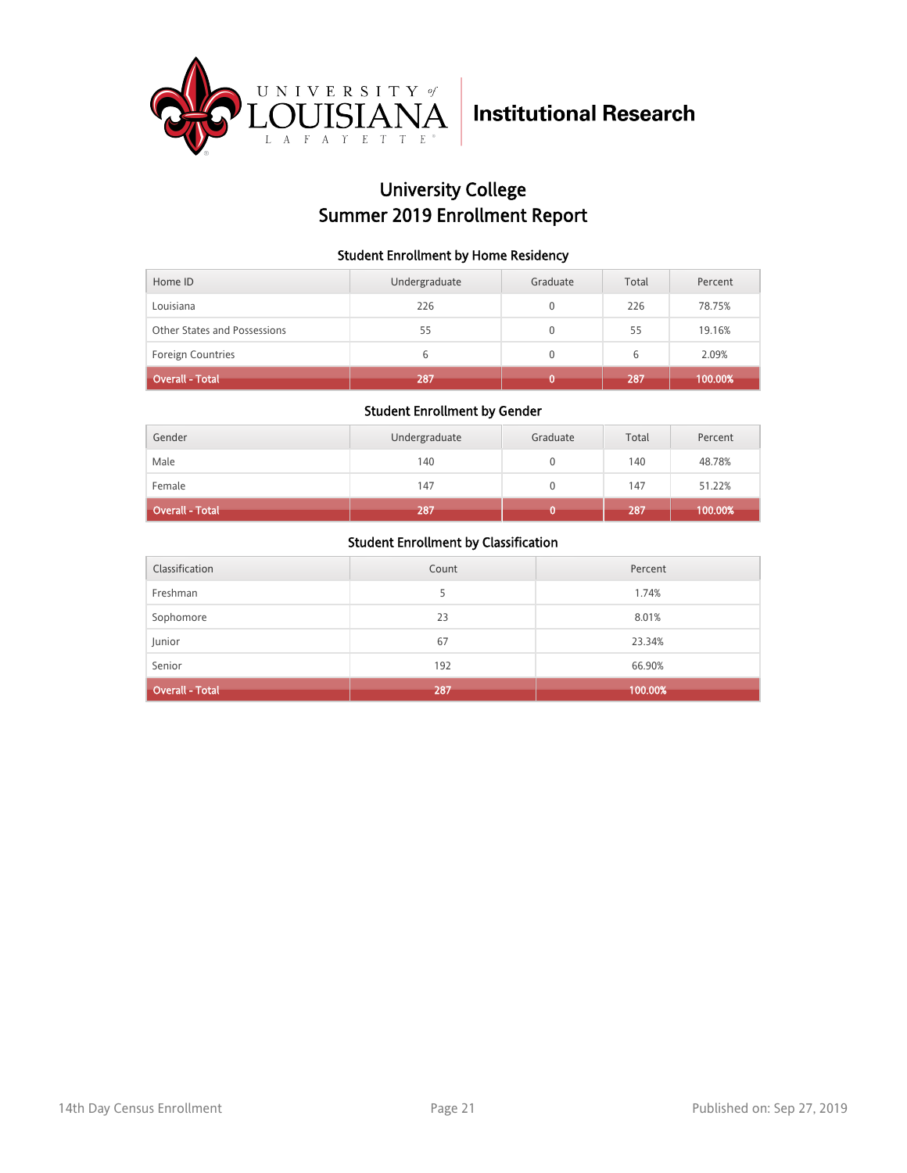

## University College Summer 2019 Enrollment Report

### Student Enrollment by Home Residency

| Home ID                      | Undergraduate | Graduate     | Total | Percent |
|------------------------------|---------------|--------------|-------|---------|
| Louisiana                    | 226           |              | 226   | 78.75%  |
| Other States and Possessions | 55            |              | 55    | 19.16%  |
| Foreign Countries            | 6             | $\mathbf{0}$ | 6     | 2.09%   |
| <b>Overall - Total</b>       | 287           |              | 287   | 100.00% |

#### Student Enrollment by Gender

| Gender                 | Undergraduate | Graduate | Total | Percent |
|------------------------|---------------|----------|-------|---------|
| Male                   | 140           |          | 140   | 48.78%  |
| Female                 | 147           |          | 147   | 51.22%  |
| <b>Overall - Total</b> | 287           |          | 287   | 100.00% |

| Classification         | Count | Percent |
|------------------------|-------|---------|
| Freshman               |       | 1.74%   |
| Sophomore              | 23    | 8.01%   |
| Junior                 | 67    | 23.34%  |
| Senior                 | 192   | 66.90%  |
| <b>Overall - Total</b> | 287   | 100.00% |